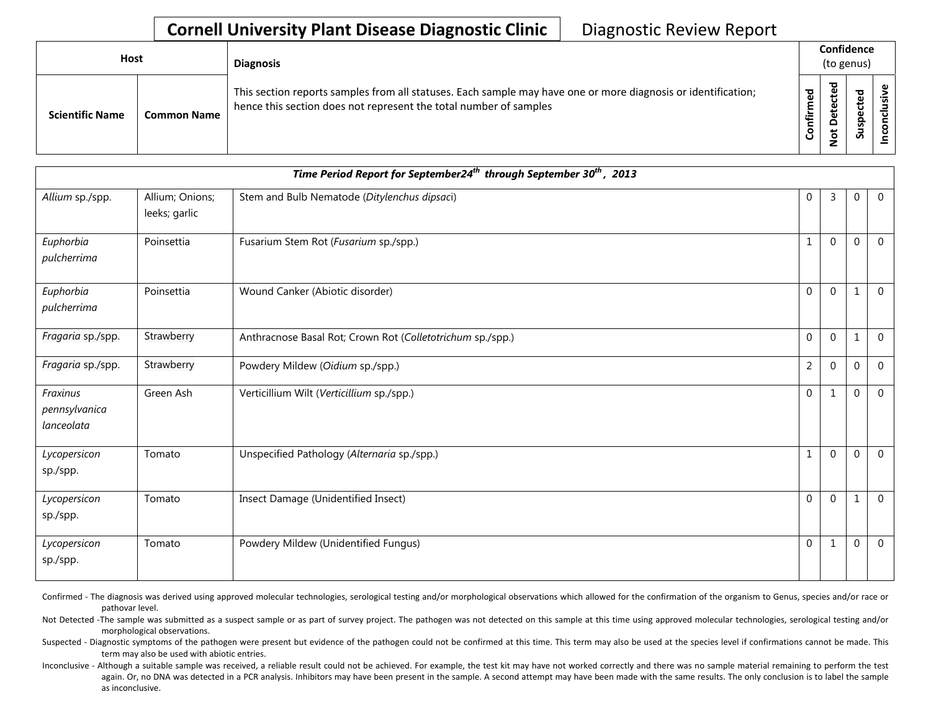| <b>Host</b>            |                    | <b>Diagnosis</b>                                                                                                                                                                   |                                  |                                | Confidence<br>(to genus)        |  |
|------------------------|--------------------|------------------------------------------------------------------------------------------------------------------------------------------------------------------------------------|----------------------------------|--------------------------------|---------------------------------|--|
| <b>Scientific Name</b> | <b>Common Name</b> | This section reports samples from all statuses. Each sample may have one or more diagnosis or identification;<br>hence this section does not represent the total number of samples | ිලි<br>ල<br>Ē<br>÷.<br>⊊<br>င်္င | ठ<br>cte<br>ete<br>۵<br>ى<br>؋ | ਠ<br>ق<br>ں<br>ω<br>௨<br>ഛ<br>ದ |  |

|                                         | Time Period Report for September24 <sup>th</sup> through September 30 <sup>th</sup> , 2013 |                                                            |                  |                |             |                |  |  |
|-----------------------------------------|--------------------------------------------------------------------------------------------|------------------------------------------------------------|------------------|----------------|-------------|----------------|--|--|
| Allium sp./spp.                         | Allium; Onions;<br>leeks; garlic                                                           | Stem and Bulb Nematode (Ditylenchus dipsaci)               | 0                | 3              | $\Omega$    | $\overline{0}$ |  |  |
| Euphorbia<br>pulcherrima                | Poinsettia                                                                                 | Fusarium Stem Rot (Fusarium sp./spp.)                      |                  | 0              | $\Omega$    | $\overline{0}$ |  |  |
| Euphorbia<br>pulcherrima                | Poinsettia                                                                                 | Wound Canker (Abiotic disorder)                            | $\mathbf 0$      | 0              | 1           | $\overline{0}$ |  |  |
| Fragaria sp./spp.                       | Strawberry                                                                                 | Anthracnose Basal Rot; Crown Rot (Colletotrichum sp./spp.) | $\boldsymbol{0}$ | $\mathbf 0$    | 1           | $\overline{0}$ |  |  |
| Fragaria sp./spp.                       | Strawberry                                                                                 | Powdery Mildew (Oidium sp./spp.)                           | $\overline{2}$   | 0              | $\mathbf 0$ | $\mathbf 0$    |  |  |
| Fraxinus<br>pennsylvanica<br>lanceolata | Green Ash                                                                                  | Verticillium Wilt (Verticillium sp./spp.)                  | $\mathbf{0}$     | 1              | $\mathbf 0$ | $\mathbf 0$    |  |  |
| Lycopersicon<br>sp./spp.                | Tomato                                                                                     | Unspecified Pathology (Alternaria sp./spp.)                |                  | $\overline{0}$ | $\mathbf 0$ | $\overline{0}$ |  |  |
| Lycopersicon<br>sp./spp.                | Tomato                                                                                     | Insect Damage (Unidentified Insect)                        | $\mathbf 0$      | $\overline{0}$ | $\mathbf 1$ | $\overline{0}$ |  |  |
| Lycopersicon<br>sp./spp.                | Tomato                                                                                     | Powdery Mildew (Unidentified Fungus)                       | $\mathbf{0}$     | 1              | $\mathbf 0$ | $\overline{0}$ |  |  |

Confirmed - The diagnosis was derived using approved molecular technologies, serological testing and/or morphological observations which allowed for the confirmation of the organism to Genus, species and/or race or pathovar level.

Not Detected -The sample was submitted as a suspect sample or as part of survey project. The pathogen was not detected on this sample at this time using approved molecular technologies, serological testing and/or morphological observations.

Suspected - Diagnostic symptoms of the pathogen were present but evidence of the pathogen could not be confirmed at this time. This term may also be used at the species level if confirmations cannot be made. This term may also be used with abiotic entries.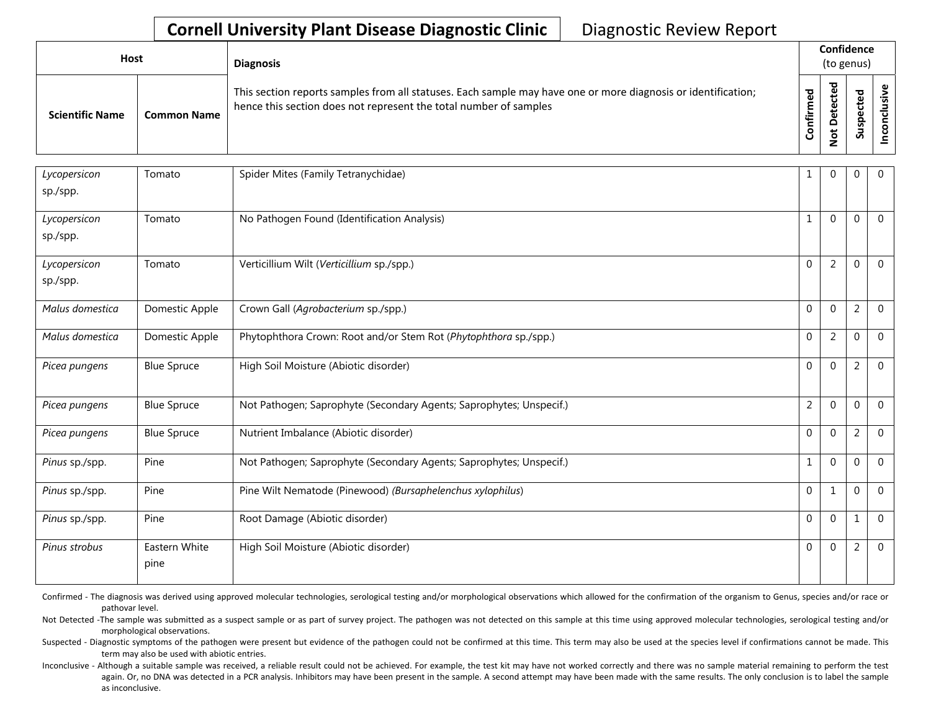| Host                   |                    | <b>Diagnosis</b>                                                                                                                                                                   |                      |                    | Confidence<br>(to genus) |        |
|------------------------|--------------------|------------------------------------------------------------------------------------------------------------------------------------------------------------------------------------|----------------------|--------------------|--------------------------|--------|
| <b>Scientific Name</b> | <b>Common Name</b> | This section reports samples from all statuses. Each sample may have one or more diagnosis or identification;<br>hence this section does not represent the total number of samples | ਠ<br>ω<br>Ě<br>onfir | ठ<br>⊷<br><u>g</u> | ठ<br>9s<br>ౣ             | ึ<br>ပ |

| Lycopersicon<br>sp./spp. | Tomato                | Spider Mites (Family Tetranychidae)                                 | 1              | $\Omega$       | $\mathbf 0$    | $\mathbf{0}$   |
|--------------------------|-----------------------|---------------------------------------------------------------------|----------------|----------------|----------------|----------------|
| Lycopersicon<br>sp./spp. | Tomato                | No Pathogen Found (Identification Analysis)                         | $\mathbf{1}$   | $\Omega$       | 0              | $\Omega$       |
| Lycopersicon<br>sp./spp. | Tomato                | Verticillium Wilt (Verticillium sp./spp.)                           | $\Omega$       | $\overline{2}$ | O              | $\Omega$       |
| Malus domestica          | Domestic Apple        | Crown Gall (Agrobacterium sp./spp.)                                 | $\Omega$       | $\Omega$       | $\overline{2}$ | $\overline{0}$ |
| Malus domestica          | Domestic Apple        | Phytophthora Crown: Root and/or Stem Rot (Phytophthora sp./spp.)    | $\mathbf 0$    | $\overline{2}$ | $\Omega$       | $\Omega$       |
| Picea pungens            | <b>Blue Spruce</b>    | High Soil Moisture (Abiotic disorder)                               | $\mathbf 0$    | $\Omega$       | 2              | $\mathbf 0$    |
| Picea pungens            | <b>Blue Spruce</b>    | Not Pathogen; Saprophyte (Secondary Agents; Saprophytes; Unspecif.) | $\overline{2}$ | $\Omega$       | 0              | $\Omega$       |
| Picea pungens            | <b>Blue Spruce</b>    | Nutrient Imbalance (Abiotic disorder)                               | $\Omega$       | $\Omega$       | 2              | $\Omega$       |
| Pinus sp./spp.           | Pine                  | Not Pathogen; Saprophyte (Secondary Agents; Saprophytes; Unspecif.) | 1              | $\Omega$       | 0              | $\mathbf 0$    |
| Pinus sp./spp.           | Pine                  | Pine Wilt Nematode (Pinewood) (Bursaphelenchus xylophilus)          | $\Omega$       | $\mathbf{1}$   | $\Omega$       | $\Omega$       |
| Pinus sp./spp.           | Pine                  | Root Damage (Abiotic disorder)                                      | $\Omega$       | $\Omega$       |                | $\mathbf{0}$   |
| Pinus strobus            | Eastern White<br>pine | High Soil Moisture (Abiotic disorder)                               | $\Omega$       | $\Omega$       | 2              | $\Omega$       |

Confirmed - The diagnosis was derived using approved molecular technologies, serological testing and/or morphological observations which allowed for the confirmation of the organism to Genus, species and/or race or pathovar level.

Not Detected -The sample was submitted as a suspect sample or as part of survey project. The pathogen was not detected on this sample at this time using approved molecular technologies, serological testing and/or morphological observations.

Suspected - Diagnostic symptoms of the pathogen were present but evidence of the pathogen could not be confirmed at this time. This term may also be used at the species level if confirmations cannot be made. This term may also be used with abiotic entries.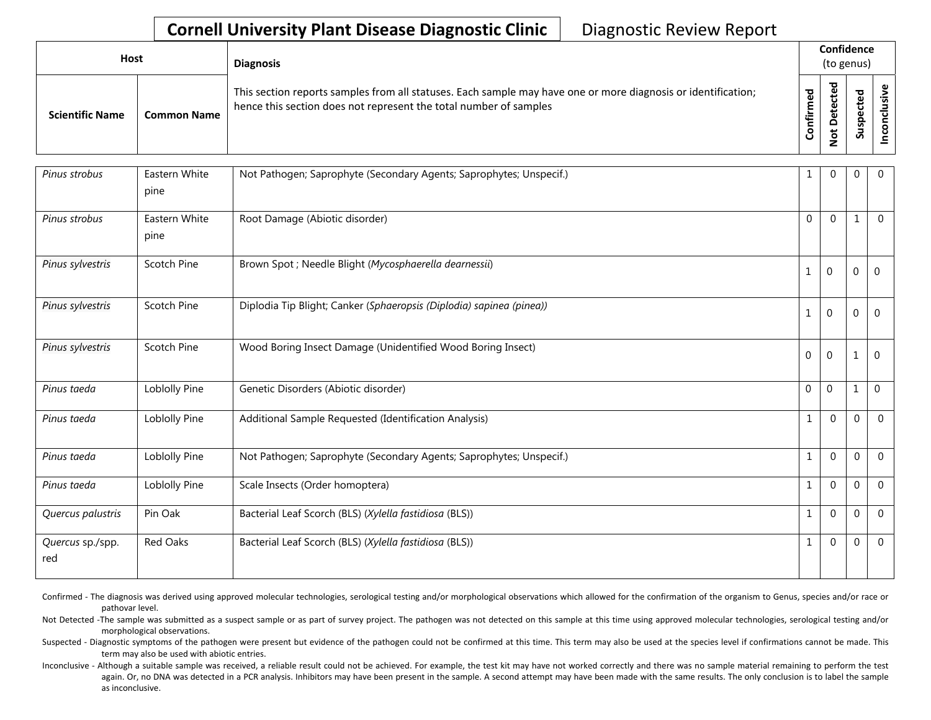| <b>Host</b>            |                    | <b>Diagnosis</b>                                                                                                                                                                   |             | Confidence<br>(to genus) |                    |  |  |  |
|------------------------|--------------------|------------------------------------------------------------------------------------------------------------------------------------------------------------------------------------|-------------|--------------------------|--------------------|--|--|--|
| <b>Scientific Name</b> | <b>Common Name</b> | This section reports samples from all statuses. Each sample may have one or more diagnosis or identification;<br>hence this section does not represent the total number of samples | ठ<br>onfirm | ᅙ<br>پ<br><u>و</u>       | 73.<br>௨<br>ب<br>ഗ |  |  |  |

| Pinus strobus           | Eastern White<br>pine | Not Pathogen; Saprophyte (Secondary Agents; Saprophytes; Unspecif.)  | $\mathbf{1}$ | $\Omega$       | $\mathbf 0$      | $\Omega$       |
|-------------------------|-----------------------|----------------------------------------------------------------------|--------------|----------------|------------------|----------------|
| Pinus strobus           | Eastern White<br>pine | Root Damage (Abiotic disorder)                                       | $\Omega$     | $\Omega$       | $\mathbf{1}$     | $\Omega$       |
| Pinus sylvestris        | Scotch Pine           | Brown Spot ; Needle Blight (Mycosphaerella dearnessii)               | $\mathbf{1}$ | $\mathbf{0}$   | $\overline{0}$   | $\mathbf{0}$   |
| Pinus sylvestris        | Scotch Pine           | Diplodia Tip Blight; Canker (Sphaeropsis (Diplodia) sapinea (pinea)) | $\mathbf{1}$ | 0              | $\boldsymbol{0}$ | $\mathbf{0}$   |
| Pinus sylvestris        | Scotch Pine           | Wood Boring Insect Damage (Unidentified Wood Boring Insect)          | $\mathbf 0$  | $\mathbf{0}$   | 1                | 0              |
| Pinus taeda             | Loblolly Pine         | Genetic Disorders (Abiotic disorder)                                 | $\mathbf 0$  | $\overline{0}$ | $\mathbf{1}$     | $\overline{0}$ |
| Pinus taeda             | Loblolly Pine         | Additional Sample Requested (Identification Analysis)                | $\mathbf{1}$ | $\Omega$       | $\Omega$         | $\Omega$       |
| Pinus taeda             | Loblolly Pine         | Not Pathogen; Saprophyte (Secondary Agents; Saprophytes; Unspecif.)  | $\mathbf{1}$ | $\Omega$       | $\mathbf{0}$     | $\Omega$       |
| Pinus taeda             | Loblolly Pine         | Scale Insects (Order homoptera)                                      | $\mathbf{1}$ | $\Omega$       | $\Omega$         | $\Omega$       |
| Quercus palustris       | Pin Oak               | Bacterial Leaf Scorch (BLS) (Xylella fastidiosa (BLS))               | $\mathbf{1}$ | $\Omega$       | $\Omega$         | $\overline{0}$ |
| Quercus sp./spp.<br>red | Red Oaks              | Bacterial Leaf Scorch (BLS) (Xylella fastidiosa (BLS))               | 1            | $\Omega$       | $\Omega$         | $\Omega$       |

Confirmed - The diagnosis was derived using approved molecular technologies, serological testing and/or morphological observations which allowed for the confirmation of the organism to Genus, species and/or race or pathovar level.

Not Detected -The sample was submitted as a suspect sample or as part of survey project. The pathogen was not detected on this sample at this time using approved molecular technologies, serological testing and/or morphological observations.

Suspected - Diagnostic symptoms of the pathogen were present but evidence of the pathogen could not be confirmed at this time. This term may also be used at the species level if confirmations cannot be made. This term may also be used with abiotic entries.